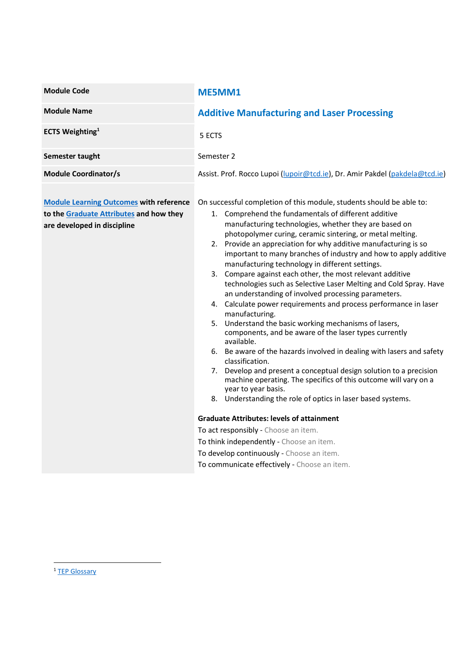| <b>Module Code</b>                                                                                                       | ME5MM1                                                                                                                                                                                                                                                                                                                                                                                                                                                                                                                                                                                                                                                                                                                                                                                                                                                                                                                                                                                                                                                                                                                                                                                                                                                                                                                                                                         |  |  |
|--------------------------------------------------------------------------------------------------------------------------|--------------------------------------------------------------------------------------------------------------------------------------------------------------------------------------------------------------------------------------------------------------------------------------------------------------------------------------------------------------------------------------------------------------------------------------------------------------------------------------------------------------------------------------------------------------------------------------------------------------------------------------------------------------------------------------------------------------------------------------------------------------------------------------------------------------------------------------------------------------------------------------------------------------------------------------------------------------------------------------------------------------------------------------------------------------------------------------------------------------------------------------------------------------------------------------------------------------------------------------------------------------------------------------------------------------------------------------------------------------------------------|--|--|
| <b>Module Name</b>                                                                                                       | <b>Additive Manufacturing and Laser Processing</b>                                                                                                                                                                                                                                                                                                                                                                                                                                                                                                                                                                                                                                                                                                                                                                                                                                                                                                                                                                                                                                                                                                                                                                                                                                                                                                                             |  |  |
| <b>ECTS Weighting</b> <sup>1</sup>                                                                                       | 5 ECTS                                                                                                                                                                                                                                                                                                                                                                                                                                                                                                                                                                                                                                                                                                                                                                                                                                                                                                                                                                                                                                                                                                                                                                                                                                                                                                                                                                         |  |  |
| Semester taught                                                                                                          | Semester 2                                                                                                                                                                                                                                                                                                                                                                                                                                                                                                                                                                                                                                                                                                                                                                                                                                                                                                                                                                                                                                                                                                                                                                                                                                                                                                                                                                     |  |  |
| <b>Module Coordinator/s</b>                                                                                              | Assist. Prof. Rocco Lupoi (lupoir@tcd.ie), Dr. Amir Pakdel (pakdela@tcd.ie)                                                                                                                                                                                                                                                                                                                                                                                                                                                                                                                                                                                                                                                                                                                                                                                                                                                                                                                                                                                                                                                                                                                                                                                                                                                                                                    |  |  |
| <b>Module Learning Outcomes with reference</b><br>to the Graduate Attributes and how they<br>are developed in discipline | On successful completion of this module, students should be able to:<br>1. Comprehend the fundamentals of different additive<br>manufacturing technologies, whether they are based on<br>photopolymer curing, ceramic sintering, or metal melting.<br>2. Provide an appreciation for why additive manufacturing is so<br>important to many branches of industry and how to apply additive<br>manufacturing technology in different settings.<br>3. Compare against each other, the most relevant additive<br>technologies such as Selective Laser Melting and Cold Spray. Have<br>an understanding of involved processing parameters.<br>4. Calculate power requirements and process performance in laser<br>manufacturing.<br>5. Understand the basic working mechanisms of lasers,<br>components, and be aware of the laser types currently<br>available.<br>6. Be aware of the hazards involved in dealing with lasers and safety<br>classification.<br>Develop and present a conceptual design solution to a precision<br>7.<br>machine operating. The specifics of this outcome will vary on a<br>year to year basis.<br>8. Understanding the role of optics in laser based systems.<br><b>Graduate Attributes: levels of attainment</b><br>To act responsibly - Choose an item.<br>To think independently - Choose an item.<br>To develop continuously - Choose an item. |  |  |
|                                                                                                                          | To communicate effectively - Choose an item.                                                                                                                                                                                                                                                                                                                                                                                                                                                                                                                                                                                                                                                                                                                                                                                                                                                                                                                                                                                                                                                                                                                                                                                                                                                                                                                                   |  |  |

<sup>&</sup>lt;sup>1</sup> TEP Glossary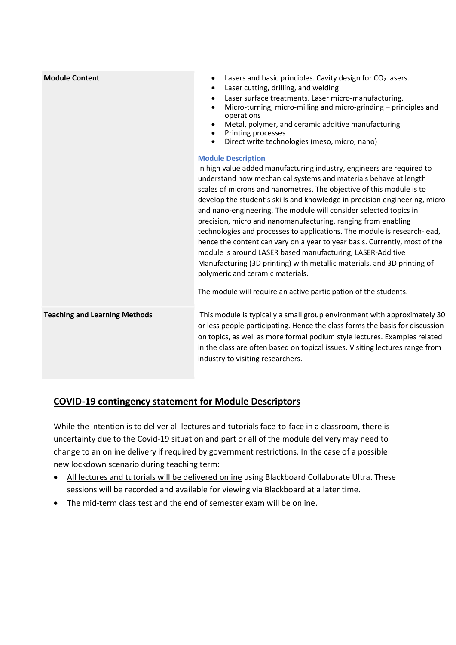| Lasers and basic principles. Cavity design for CO <sub>2</sub> lasers.<br>$\bullet$<br>Laser cutting, drilling, and welding<br>Laser surface treatments. Laser micro-manufacturing.<br>$\bullet$<br>Micro-turning, micro-milling and micro-grinding - principles and<br>$\bullet$<br>operations<br>Metal, polymer, and ceramic additive manufacturing<br>• Printing processes<br>Direct write technologies (meso, micro, nano)<br>$\bullet$<br><b>Module Description</b><br>In high value added manufacturing industry, engineers are required to<br>understand how mechanical systems and materials behave at length<br>scales of microns and nanometres. The objective of this module is to<br>develop the student's skills and knowledge in precision engineering, micro<br>and nano-engineering. The module will consider selected topics in<br>precision, micro and nanomanufacturing, ranging from enabling<br>technologies and processes to applications. The module is research-lead,<br>hence the content can vary on a year to year basis. Currently, most of the<br>module is around LASER based manufacturing, LASER-Additive<br>Manufacturing (3D printing) with metallic materials, and 3D printing of<br>polymeric and ceramic materials.<br>The module will require an active participation of the students. |
|------------------------------------------------------------------------------------------------------------------------------------------------------------------------------------------------------------------------------------------------------------------------------------------------------------------------------------------------------------------------------------------------------------------------------------------------------------------------------------------------------------------------------------------------------------------------------------------------------------------------------------------------------------------------------------------------------------------------------------------------------------------------------------------------------------------------------------------------------------------------------------------------------------------------------------------------------------------------------------------------------------------------------------------------------------------------------------------------------------------------------------------------------------------------------------------------------------------------------------------------------------------------------------------------------------------------------|
| This module is typically a small group environment with approximately 30<br>or less people participating. Hence the class forms the basis for discussion<br>on topics, as well as more formal podium style lectures. Examples related<br>in the class are often based on topical issues. Visiting lectures range from<br>industry to visiting researchers.                                                                                                                                                                                                                                                                                                                                                                                                                                                                                                                                                                                                                                                                                                                                                                                                                                                                                                                                                                   |
|                                                                                                                                                                                                                                                                                                                                                                                                                                                                                                                                                                                                                                                                                                                                                                                                                                                                                                                                                                                                                                                                                                                                                                                                                                                                                                                              |

## COVID-19 contingency statement for Module Descriptors

While the intention is to deliver all lectures and tutorials face-to-face in a classroom, there is uncertainty due to the Covid-19 situation and part or all of the module delivery may need to change to an online delivery if required by government restrictions. In the case of a possible new lockdown scenario during teaching term:

- All lectures and tutorials will be delivered online using Blackboard Collaborate Ultra. These sessions will be recorded and available for viewing via Blackboard at a later time.
- The mid-term class test and the end of semester exam will be online.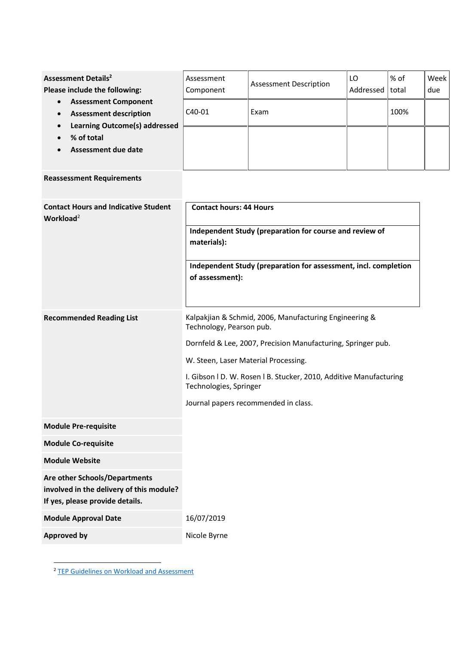| <b>Assessment Details<sup>2</sup></b><br>Please include the following:                                                                                                                 | Assessment<br>Component | <b>Assessment Description</b> | LO<br>Addressed | % of<br>total | Week<br>due |
|----------------------------------------------------------------------------------------------------------------------------------------------------------------------------------------|-------------------------|-------------------------------|-----------------|---------------|-------------|
| <b>Assessment Component</b><br>$\bullet$<br><b>Assessment description</b><br>$\bullet$<br>Learning Outcome(s) addressed<br>$\bullet$<br>% of total<br>$\bullet$<br>Assessment due date | C <sub>40</sub> -01     | Exam                          |                 | 100%          |             |
|                                                                                                                                                                                        |                         |                               |                 |               |             |
|                                                                                                                                                                                        |                         |                               |                 |               |             |

## Reassessment Requirements

| <b>Contact Hours and Indicative Student</b><br>Workload <sup>2</sup>                                         | <b>Contact hours: 44 Hours</b>                                                               |
|--------------------------------------------------------------------------------------------------------------|----------------------------------------------------------------------------------------------|
|                                                                                                              | Independent Study (preparation for course and review of<br>materials):                       |
|                                                                                                              | Independent Study (preparation for assessment, incl. completion<br>of assessment):           |
| <b>Recommended Reading List</b>                                                                              | Kalpakjian & Schmid, 2006, Manufacturing Engineering &<br>Technology, Pearson pub.           |
|                                                                                                              | Dornfeld & Lee, 2007, Precision Manufacturing, Springer pub.                                 |
|                                                                                                              | W. Steen, Laser Material Processing.                                                         |
|                                                                                                              | I. Gibson I D. W. Rosen I B. Stucker, 2010, Additive Manufacturing<br>Technologies, Springer |
|                                                                                                              | Journal papers recommended in class.                                                         |
| <b>Module Pre-requisite</b>                                                                                  |                                                                                              |
| <b>Module Co-requisite</b>                                                                                   |                                                                                              |
| <b>Module Website</b>                                                                                        |                                                                                              |
| Are other Schools/Departments<br>involved in the delivery of this module?<br>If yes, please provide details. |                                                                                              |
| <b>Module Approval Date</b>                                                                                  | 16/07/2019                                                                                   |
| <b>Approved by</b>                                                                                           | Nicole Byrne                                                                                 |

<sup>&</sup>lt;sup>2</sup> TEP Guidelines on Workload and Assessment